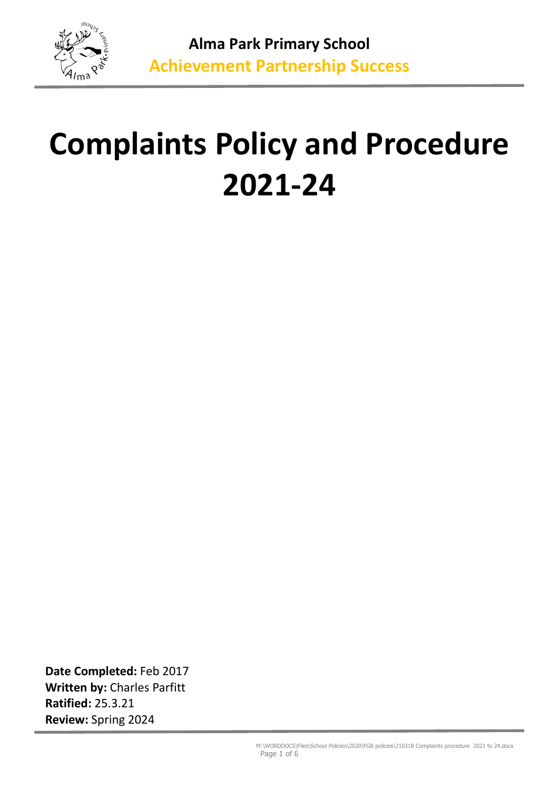

# **Complaints Policy and Procedure 2021-24**

**Date Completed:** Feb 2017 **Written by:** Charles Parfitt **Ratified:** 25.3.21 **Review:** Spring 2024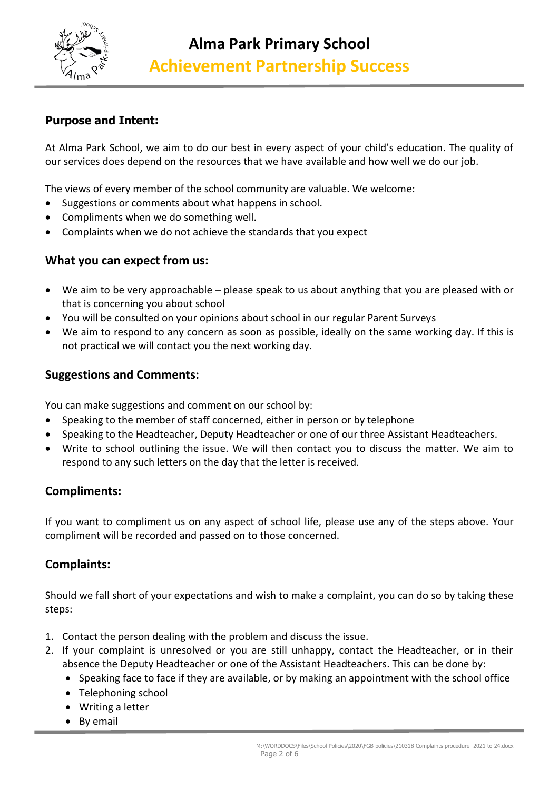

# **Purpose and Intent:**

At Alma Park School, we aim to do our best in every aspect of your child's education. The quality of our services does depend on the resources that we have available and how well we do our job.

The views of every member of the school community are valuable. We welcome:

- Suggestions or comments about what happens in school.
- Compliments when we do something well.
- Complaints when we do not achieve the standards that you expect

### **What you can expect from us:**

- We aim to be very approachable please speak to us about anything that you are pleased with or that is concerning you about school
- You will be consulted on your opinions about school in our regular Parent Surveys
- We aim to respond to any concern as soon as possible, ideally on the same working day. If this is not practical we will contact you the next working day.

# **Suggestions and Comments:**

You can make suggestions and comment on our school by:

- Speaking to the member of staff concerned, either in person or by telephone
- Speaking to the Headteacher, Deputy Headteacher or one of our three Assistant Headteachers.
- Write to school outlining the issue. We will then contact you to discuss the matter. We aim to respond to any such letters on the day that the letter is received.

# **Compliments:**

If you want to compliment us on any aspect of school life, please use any of the steps above. Your compliment will be recorded and passed on to those concerned.

# **Complaints:**

Should we fall short of your expectations and wish to make a complaint, you can do so by taking these steps:

- 1. Contact the person dealing with the problem and discuss the issue.
- 2. If your complaint is unresolved or you are still unhappy, contact the Headteacher, or in their absence the Deputy Headteacher or one of the Assistant Headteachers. This can be done by:
	- Speaking face to face if they are available, or by making an appointment with the school office
	- Telephoning school
	- Writing a letter
	- By email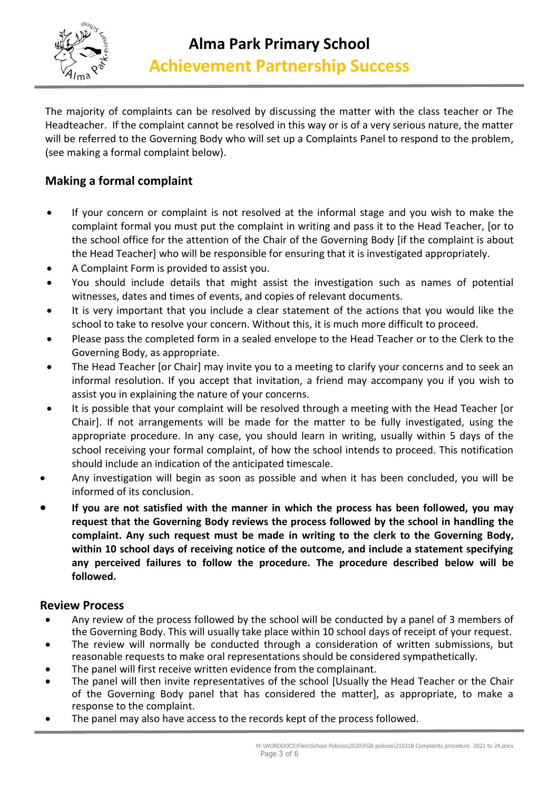

The majority of complaints can be resolved by discussing the matter with the class teacher or The Headteacher. If the complaint cannot be resolved in this way or is of a very serious nature, the matter will be referred to the Governing Body who will set up a Complaints Panel to respond to the problem, (see making a formal complaint below).

# **Making a formal complaint**

- If your concern or complaint is not resolved at the informal stage and you wish to make the complaint formal you must put the complaint in writing and pass it to the Head Teacher, [or to the school office for the attention of the Chair of the Governing Body [if the complaint is about the Head Teacher] who will be responsible for ensuring that it is investigated appropriately.
- A Complaint Form is provided to assist you.
- You should include details that might assist the investigation such as names of potential witnesses, dates and times of events, and copies of relevant documents.
- It is very important that you include a clear statement of the actions that you would like the school to take to resolve your concern. Without this, it is much more difficult to proceed.
- Please pass the completed form in a sealed envelope to the Head Teacher or to the Clerk to the Governing Body, as appropriate.
- The Head Teacher [or Chair] may invite you to a meeting to clarify your concerns and to seek an informal resolution. If you accept that invitation, a friend may accompany you if you wish to assist you in explaining the nature of your concerns.
- It is possible that your complaint will be resolved through a meeting with the Head Teacher [or Chair]. If not arrangements will be made for the matter to be fully investigated, using the appropriate procedure. In any case, you should learn in writing, usually within 5 days of the school receiving your formal complaint, of how the school intends to proceed. This notification should include an indication of the anticipated timescale.
- Any investigation will begin as soon as possible and when it has been concluded, you will be informed of its conclusion.
- **If you are not satisfied with the manner in which the process has been followed, you may request that the Governing Body reviews the process followed by the school in handling the complaint. Any such request must be made in writing to the clerk to the Governing Body, within 10 school days of receiving notice of the outcome, and include a statement specifying any perceived failures to follow the procedure. The procedure described below will be followed.**

# **Review Process**

- Any review of the process followed by the school will be conducted by a panel of 3 members of the Governing Body. This will usually take place within 10 school days of receipt of your request.
- The review will normally be conducted through a consideration of written submissions, but reasonable requests to make oral representations should be considered sympathetically.
- The panel will first receive written evidence from the complainant.
- The panel will then invite representatives of the school [Usually the Head Teacher or the Chair of the Governing Body panel that has considered the matter], as appropriate, to make a response to the complaint.
- The panel may also have access to the records kept of the process followed.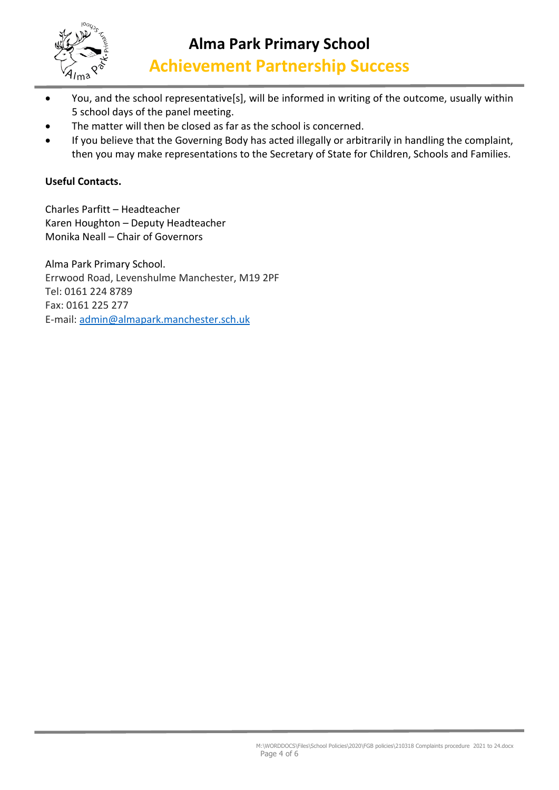

- You, and the school representative[s], will be informed in writing of the outcome, usually within 5 school days of the panel meeting.
- The matter will then be closed as far as the school is concerned.
- If you believe that the Governing Body has acted illegally or arbitrarily in handling the complaint, then you may make representations to the Secretary of State for Children, Schools and Families.

## **Useful Contacts.**

Charles Parfitt – Headteacher Karen Houghton – Deputy Headteacher Monika Neall – Chair of Governors

Alma Park Primary School. Errwood Road, Levenshulme Manchester, M19 2PF Tel: 0161 224 8789 Fax: 0161 225 277 E-mail: [admin@almapark.manchester.sch.uk](mailto:admin@almapark.manchester.sch.uk)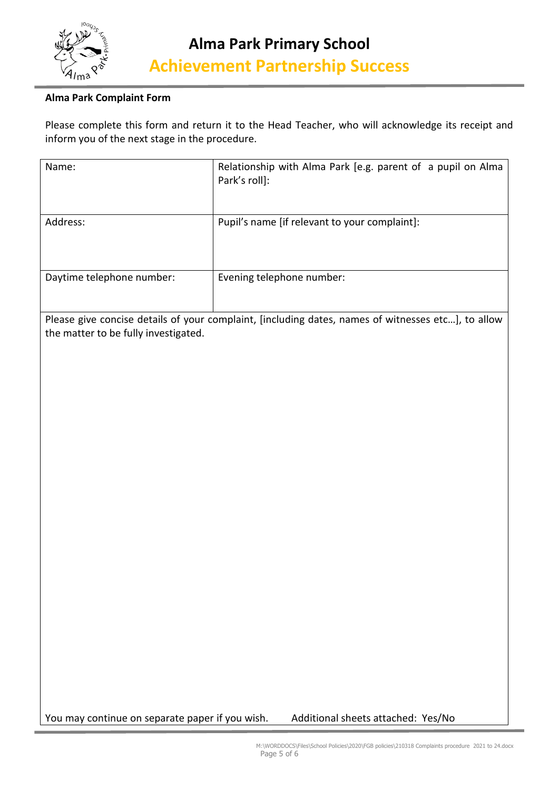

#### **Alma Park Complaint Form**

Please complete this form and return it to the Head Teacher, who will acknowledge its receipt and inform you of the next stage in the procedure.

| Name:                     | Relationship with Alma Park [e.g. parent of a pupil on Alma<br>Park's roll]: |
|---------------------------|------------------------------------------------------------------------------|
| Address:                  | Pupil's name [if relevant to your complaint]:                                |
| Daytime telephone number: | Evening telephone number:                                                    |

Please give concise details of your complaint, [including dates, names of witnesses etc…], to allow the matter to be fully investigated.

You may continue on separate paper if you wish. Additional sheets attached: Yes/No